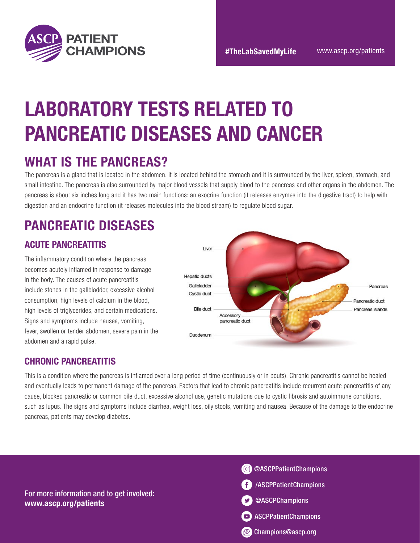

# LABORATORY TESTS RELATED TO PANCREATIC DISEASES AND CANCER

### WHAT IS THE PANCREAS?

The pancreas is a gland that is located in the abdomen. It is located behind the stomach and it is surrounded by the liver, spleen, stomach, and small intestine. The pancreas is also surrounded by major blood vessels that supply blood to the pancreas and other organs in the abdomen. The pancreas is about six inches long and it has two main functions: an exocrine function (it releases enzymes into the digestive tract) to help with digestion and an endocrine function (it releases molecules into the blood stream) to regulate blood sugar.

## PANCREATIC DISEASES

### ACUTE PANCREATITIS

The inflammatory condition where the pancreas becomes acutely inflamed in response to damage in the body. The causes of acute pancreatitis include stones in the gallbladder, excessive alcohol consumption, high levels of calcium in the blood, high levels of triglycerides, and certain medications. Signs and symptoms include nausea, vomiting, fever, swollen or tender abdomen, severe pain in the abdomen and a rapid pulse.



### CHRONIC PANCREATITIS

This is a condition where the pancreas is inflamed over a long period of time (continuously or in bouts). Chronic pancreatitis cannot be healed and eventually leads to permanent damage of the pancreas. Factors that lead to chronic pancreatitis include recurrent acute pancreatitis of any cause, blocked pancreatic or common bile duct, excessive alcohol use, genetic mutations due to cystic fibrosis and autoimmune conditions, such as lupus. The signs and symptoms include diarrhea, weight loss, oily stools, vomiting and nausea. Because of the damage to the endocrine pancreas, patients may develop diabetes.

For more information and to get involved: www.ascp.org/patients

 $\bullet$  as a construction of the construction of the construction  $\bullet$  as  $\bullet$  as  $\bullet$  as  $\bullet$  as  $\bullet$  as  $\bullet$  as  $\bullet$  as  $\bullet$  as  $\bullet$  as  $\bullet$  as  $\bullet$  as  $\bullet$  as  $\bullet$  as  $\bullet$  as  $\bullet$  as  $\bullet$  as  $\bullet$  as  $\bullet$  as  $\bullet$  as  $\bullet$  a **Champions@ascp.org** /ASCPPatientChampions @ASCPPatientChampions @ASCPChampions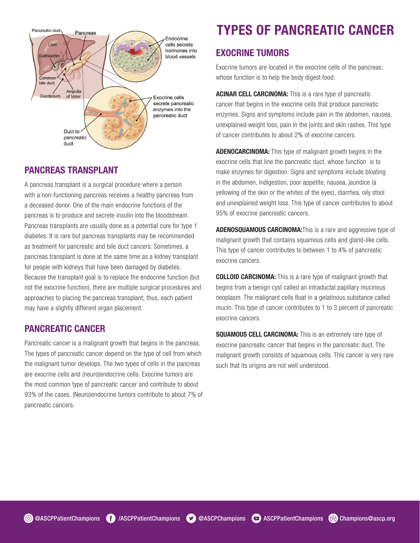

### PANCREAS TRANSPLANT PANCREAS TRANSPLANT

A pancreas transplant is a surgical procedure where a person A pancreas transplant is a surgical procedure where a person with a non-functioning pancreas receives a healthy pancreas from with a non-functioning pancreas receives a healthy pancreas from a deceased donor. One of the main endocrine functions of the a deceased donor. One of the main endocrine functions of the pancreas is to produce and secrete insulin into the bloodstream. pancreas is to produce and secrete insulin into the bloodstream. Pancreas transplants are usually done as a potential cure for type 1 Pancreas transplants are usually done as a potential cure for type 1 diabetes. It is rare but pancreas transplants may be recommended diabetes. It is rare but pancreas transplants may be recommended as treatment for pancreatic and bile duct cancers. Sometimes, a as treatment for pancreatic and bile duct cancers. Sometimes, a pancreas transplant is done at the same time as a kidney transplant pancreas transplant is done at the same time as a kidney transplant for people with kidneys that have been damaged by diabetes. for people with kidneys that have been damaged by diabetes. Because the transplant goal is to replace the endocrine function (but Because the transplant goal is to replace the endocrine function (but not the exocrine function), there are multiple surgical procedures and not the exocrine function), there are multiple surgical procedures and approaches to placing the pancreas transplant; thus, each patient approaches to placing the pancreas transplant; thus, each patient may have a slightly different organ placement. may have a slightly different organ placement.

### PANCREATIC CANCER PANCREATIC CANCER

Pancreatic cancer is a malignant growth that begins in the pancreas. Pancreatic cancer is a malignant growth that begins in the pancreas. The types of pancreatic cancer depend on the type of cell from which The types of pancreatic cancer depend on the type of cell from which the malignant tumor develops. The two types of cells in the pancreas the malignant tumor develops. The two types of cells in the pancreas are exocrine cells and (neuro)endocrine cells. Exocrine tumors are are exocrine cells and (neuro)endocrine cells. Exocrine tumors are the most common type of pancreatic cancer and contribute to about the most common type of pancreatic cancer and contribute to about 93% of the cases. (Neuro)endocrine tumors contribute to about 7% of 93% of the cases. (Neuro)endocrine tumors contribute to about 7% of pancreatic cancers. pancreatic cancers.

## TYPES OF PANCREATIC CANCER TYPES OF PANCREATIC CANCER

### EXOCRINE TUMORS EXOCRINE TUMORS

Exocrine tumors are located in the exocrine cells of the pancreas; Exocrine tumors are located in the exocrine cells of the pancreas; whose function is to help the body digest food. whose function is to help the body digest food.

ACINAR CELL CARCINOMA: This is a rare type of pancreatic ACINAR CELL CARCINOMA: This is a rare type of pancreatic cancer that begins in the exocrine cells that produce pancreatic cancer that begins in the exocrine cells that produce pancreatic enzymes. Signs and symptoms include pain in the abdomen, nausea, enzymes. Signs and symptoms include pain in the abdomen, nausea, unexplained weight loss, pain in the joints and skin rashes. This type unexplained weight loss, pain in the joints and skin rashes. This type of cancer contributes to about 2% of exocrine cancers. of cancer contributes to about 2% of exocrine cancers.

ADENOCARCINOMA: This type of malignant growth begins in the ADENOCARCINOMA: This type of malignant growth begins in the exocrine cells that line the pancreatic duct, whose function is to exocrine cells that line the pancreatic duct, whose function is to make enzymes for digestion. Signs and symptoms include bloating make enzymes for digestion. Signs and symptoms include bloating in the abdomen, indigestion, poor appetite, nausea, jaundice (a in the abdomen, indigestion, poor appetite, nausea, jaundice (a yellowing of the skin or the whites of the eyes), diarrhea, oily stool yellowing of the skin or the whites of the eyes), diarrhea, oily stool and unexplained weight loss. This type of cancer contributes to about and unexplained weight loss. This type of cancer contributes to about 95% of exocrine pancreatic cancers. 95% of exocrine pancreatic cancers.

ADENOSQUAMOUS CARCINOMA: This is a rare and aggressive type of malignant growth that contains squamous cells and gland-like cells. malignant growth that contains squamous cells and gland-like cells. This type of cancer contributes to between 1 to 4% of pancreatic This type of cancer contributes to between 1 to 4% of pancreatic exocrine cancers. exocrine cancers.

**COLLOID CARCINOMA:** This is a rare type of malignant growth that begins from a benign cyst called an intraductal papillary mucinous begins from a benign cyst called an intraductal papillary mucinous neoplasm. The malignant cells float in a gelatinous substance called neoplasm. The malignant cells float in a gelatinous substance called mucin. This type of cancer contributes to 1 to 3 percent of pancreatic mucin. This type of cancer contributes to 1 to 3 percent of pancreatic exocrine cancers. exocrine cancers.

SQUAMOUS CELL CARCINOMA: This is an extremely rare type of SQUAMOUS CELL CARCINOMA: This is an extremely rare type of exocrine pancreatic cancer that begins in the pancreatic duct. The exocrine pancreatic cancer that begins in the pancreatic duct. The malignant growth consists of squamous cells. This cancer is very rare malignant growth consists of squamous cells. This cancer is very rare such that its origins are not well understood. such that its origins are not well understood.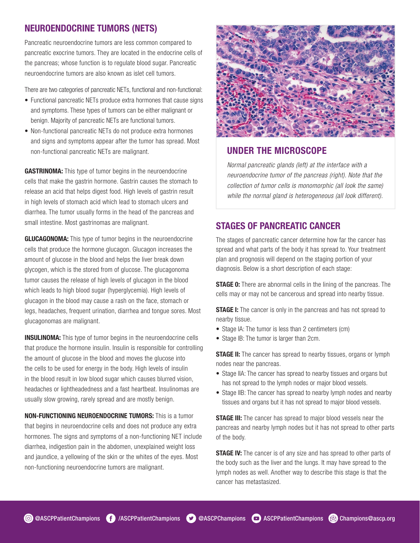### NEUROENDOCRINE TUMORS (NETS)

Pancreatic neuroendocrine tumors are less common compared to pancreatic exocrine tumors. They are located in the endocrine cells of the pancreas; whose function is to regulate blood sugar. Pancreatic neuroendocrine tumors are also known as islet cell tumors.

There are two categories of pancreatic NETs, functional and non-functional:

- Functional pancreatic NETs produce extra hormones that cause signs and symptoms. These types of tumors can be either malignant or benign. Majority of pancreatic NETs are functional tumors.
- Non-functional pancreatic NETs do not produce extra hormones and signs and symptoms appear after the tumor has spread. Most non-functional pancreatic NETs are malignant.

GASTRINOMA: This type of tumor begins in the neuroendocrine cells that make the gastrin hormone. Gastrin causes the stomach to release an acid that helps digest food. High levels of gastrin result in high levels of stomach acid which lead to stomach ulcers and diarrhea. The tumor usually forms in the head of the pancreas and small intestine. Most gastrinomas are malignant.

**GLUCAGONOMA:** This type of tumor begins in the neuroendocrine cells that produce the hormone glucagon. Glucagon increases the amount of glucose in the blood and helps the liver break down glycogen, which is the stored from of glucose. The glucagonoma tumor causes the release of high levels of glucagon in the blood which leads to high blood sugar (hyperglycemia). High levels of glucagon in the blood may cause a rash on the face, stomach or legs, headaches, frequent urination, diarrhea and tongue sores. Most glucagonomas are malignant.

**INSULINOMA:** This type of tumor begins in the neuroendocrine cells that produce the hormone insulin. Insulin is responsible for controlling the amount of glucose in the blood and moves the glucose into the cells to be used for energy in the body. High levels of insulin in the blood result in low blood sugar which causes blurred vision, headaches or lightheadedness and a fast heartbeat. Insulinomas are usually slow growing, rarely spread and are mostly benign.

NON-FUNCTIONING NEUROENDOCRINE TUMORS: This is a tumor that begins in neuroendocrine cells and does not produce any extra hormones. The signs and symptoms of a non-functioning NET include diarrhea, indigestion pain in the abdomen, unexplained weight loss and jaundice, a yellowing of the skin or the whites of the eyes. Most non-functioning neuroendocrine tumors are malignant.



### UNDER THE MICROSCOPE

*Normal pancreatic glands (left) at the interface with a neuroendocrine tumor of the pancreas (right). Note that the collection of tumor cells is monomorphic (all look the same) while the normal gland is heterogeneous (all look different).*

### STAGES OF PANCREATIC CANCER

The stages of pancreatic cancer determine how far the cancer has spread and what parts of the body it has spread to. Your treatment plan and prognosis will depend on the staging portion of your diagnosis. Below is a short description of each stage:

**STAGE 0:** There are abnormal cells in the lining of the pancreas. The cells may or may not be cancerous and spread into nearby tissue.

**STAGE I:** The cancer is only in the pancreas and has not spread to nearby tissue.

- Stage IA: The tumor is less than 2 centimeters (cm)
- Stage IB: The tumor is larger than 2cm.

**STAGE II:** The cancer has spread to nearby tissues, organs or lymph nodes near the pancreas.

- Stage IIA: The cancer has spread to nearby tissues and organs but has not spread to the lymph nodes or major blood vessels.
- Stage IIB: The cancer has spread to nearby lymph nodes and nearby tissues and organs but it has not spread to major blood vessels.

**STAGE III:** The cancer has spread to major blood vessels near the pancreas and nearby lymph nodes but it has not spread to other parts of the body.

**STAGE IV:** The cancer is of any size and has spread to other parts of the body such as the liver and the lungs. It may have spread to the lymph nodes as well. Another way to describe this stage is that the cancer has metastasized.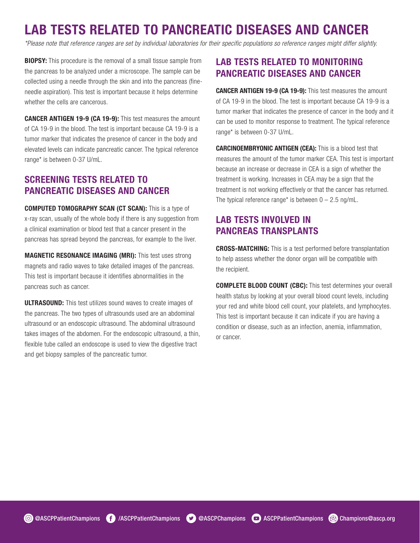# LAB TESTS RELATED TO PANCREATIC DISEASES AND CANCER

*\*Please note that reference ranges are set by individual laboratories for their specific populations so reference ranges might differ slightly.*

**BIOPSY:** This procedure is the removal of a small tissue sample from the pancreas to be analyzed under a microscope. The sample can be collected using a needle through the skin and into the pancreas (fineneedle aspiration). This test is important because it helps determine whether the cells are cancerous.

CANCER ANTIGEN 19-9 (CA 19-9): This test measures the amount of CA 19-9 in the blood. The test is important because CA 19-9 is a tumor marker that indicates the presence of cancer in the body and elevated levels can indicate pancreatic cancer. The typical reference range\* is between 0-37 U/mL.

### SCREENING TESTS RELATED TO PANCREATIC DISEASES AND CANCER

COMPUTED TOMOGRAPHY SCAN (CT SCAN): This is a type of x-ray scan, usually of the whole body if there is any suggestion from a clinical examination or blood test that a cancer present in the pancreas has spread beyond the pancreas, for example to the liver.

MAGNETIC RESONANCE IMAGING (MRI): This test uses strong magnets and radio waves to take detailed images of the pancreas. This test is important because it identifies abnormalities in the pancreas such as cancer.

**ULTRASOUND:** This test utilizes sound waves to create images of the pancreas. The two types of ultrasounds used are an abdominal ultrasound or an endoscopic ultrasound. The abdominal ultrasound takes images of the abdomen. For the endoscopic ultrasound, a thin, flexible tube called an endoscope is used to view the digestive tract and get biopsy samples of the pancreatic tumor.

### LAB TESTS RELATED TO MONITORING PANCREATIC DISEASES AND CANCER

CANCER ANTIGEN 19-9 (CA 19-9): This test measures the amount of CA 19-9 in the blood. The test is important because CA 19-9 is a tumor marker that indicates the presence of cancer in the body and it can be used to monitor response to treatment. The typical reference range\* is between 0-37 U/mL.

CARCINOEMBRYONIC ANTIGEN (CEA): This is a blood test that measures the amount of the tumor marker CEA. This test is important because an increase or decrease in CEA is a sign of whether the treatment is working. Increases in CEA may be a sign that the treatment is not working effectively or that the cancer has returned. The typical reference range\* is between  $0 - 2.5$  ng/mL.

### LAB TESTS INVOLVED IN PANCREAS TRANSPLANTS

CROSS-MATCHING: This is a test performed before transplantation to help assess whether the donor organ will be compatible with the recipient.

COMPLETE BLOOD COUNT (CBC): This test determines your overall health status by looking at your overall blood count levels, including your red and white blood cell count, your platelets, and lymphocytes. This test is important because it can indicate if you are having a condition or disease, such as an infection, anemia, inflammation, or cancer.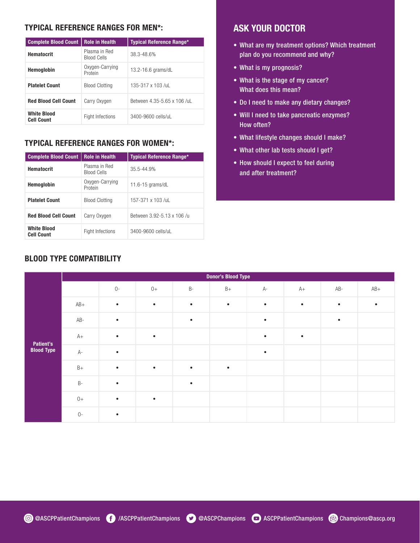#### TYPICAL REFERENCE RANGES FOR MEN\*:

| <b>Complete Blood Count</b>             | <b>Role in Health</b>                            | <b>Typical Reference Range*</b> |  |  |  |
|-----------------------------------------|--------------------------------------------------|---------------------------------|--|--|--|
| <b>Hematocrit</b>                       | Plasma in Red<br><b>Blood Cells</b>              | 38.3-48.6%                      |  |  |  |
| Hemoglobin                              | Oxygen-Carrying<br>13.2-16.6 grams/dL<br>Protein |                                 |  |  |  |
| <b>Platelet Count</b>                   | <b>Blood Clotting</b>                            | $135-317 \times 103$ /ul        |  |  |  |
| <b>Red Blood Cell Count</b>             | Carry Oxygen                                     | Between 4.35-5.65 x 106 /uL     |  |  |  |
| <b>White Blood</b><br><b>Cell Count</b> | <b>Fight Infections</b>                          | 3400-9600 cells/ul              |  |  |  |

#### TYPICAL REFERENCE RANGES FOR WOMEN\*:

| <b>Complete Blood Count</b>             | <b>Role in Health</b>                                 | <b>Typical Reference Range*</b> |  |  |  |
|-----------------------------------------|-------------------------------------------------------|---------------------------------|--|--|--|
| <b>Hematocrit</b>                       | Plasma in Red<br>$35.5 - 44.9%$<br><b>Blood Cells</b> |                                 |  |  |  |
| <b>Hemoglobin</b>                       | Oxygen-Carrying<br>11.6-15 $q$ rams/dL<br>Protein     |                                 |  |  |  |
| <b>Platelet Count</b>                   | <b>Blood Clotting</b>                                 | 157-371 x 103 /ul               |  |  |  |
| <b>Red Blood Cell Count</b>             | Carry Oxygen                                          | Between 3.92-5.13 x 106 /u      |  |  |  |
| <b>White Blood</b><br><b>Cell Count</b> | <b>Fight Infections</b>                               | 3400-9600 cells/uL              |  |  |  |

### BLOOD TYPE COMPATIBILITY

### ASK YOUR DOCTOR

- What are my treatment options? Which treatment plan do you recommend and why?
- What is my prognosis?
- What is the stage of my cancer? What does this mean?
- Do I need to make any dietary changes?
- Will I need to take pancreatic enzymes? How often?
- What lifestyle changes should I make?
- What other lab tests should I get?
- How should I expect to feel during and after treatment?

|                                | <b>Donor's Blood Type</b> |           |           |           |           |           |           |           |           |  |
|--------------------------------|---------------------------|-----------|-----------|-----------|-----------|-----------|-----------|-----------|-----------|--|
|                                |                           | $0-$      | $0+$      | $B-$      | $B+$      | А-        | $A+$      | AB-       | $AB+$     |  |
| Patient's<br><b>Blood Type</b> | $AB+$                     | $\bullet$ | $\bullet$ | $\bullet$ | $\bullet$ | $\bullet$ | $\bullet$ | $\bullet$ | $\bullet$ |  |
|                                | $AB -$                    | $\bullet$ |           | $\bullet$ |           | $\bullet$ |           | $\bullet$ |           |  |
|                                | $A+$                      | $\bullet$ | $\bullet$ |           |           | $\bullet$ | $\bullet$ |           |           |  |
|                                | $A-$                      | $\bullet$ |           |           |           | $\bullet$ |           |           |           |  |
|                                | $B+$                      | $\bullet$ | $\bullet$ | $\bullet$ | $\bullet$ |           |           |           |           |  |
|                                | $\mathsf B$ -             | $\bullet$ |           | $\bullet$ |           |           |           |           |           |  |
|                                | $0+$                      | $\bullet$ | $\bullet$ |           |           |           |           |           |           |  |
|                                | $O-$                      | $\bullet$ |           |           |           |           |           |           |           |  |